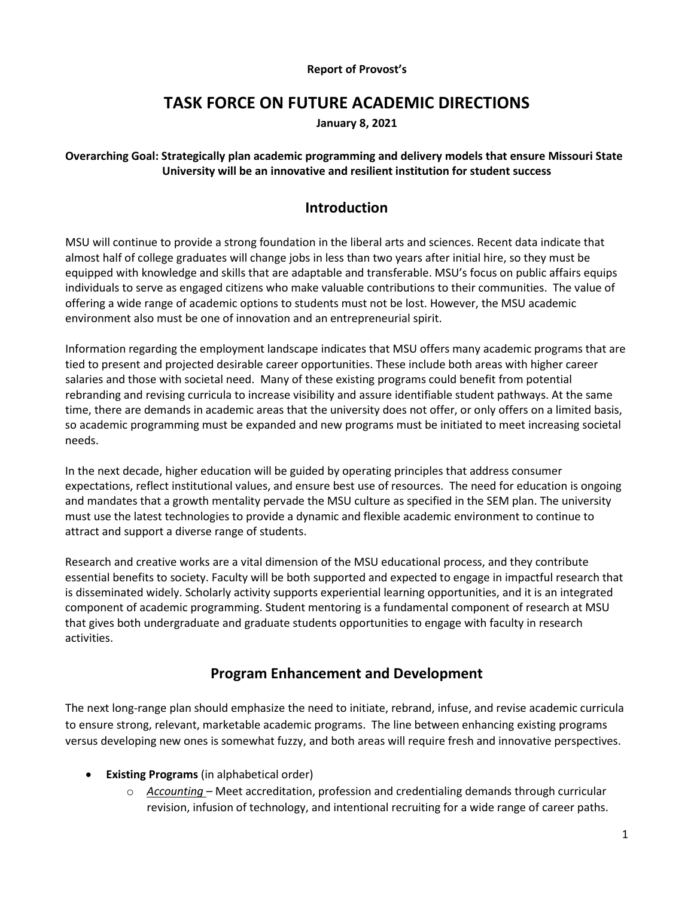#### **Report of Provost's**

# **TASK FORCE ON FUTURE ACADEMIC DIRECTIONS**

**January 8, 2021** 

### **Overarching Goal: Strategically plan academic programming and delivery models that ensure Missouri State University will be an innovative and resilient institution for student success**

# **Introduction**

 almost half of college graduates will change jobs in less than two years after initial hire, so they must be individuals to serve as engaged citizens who make valuable contributions to their communities. The value of offering a wide range of academic options to students must not be lost. However, the MSU academic environment also must be one of innovation and an entrepreneurial spirit. MSU will continue to provide a strong foundation in the liberal arts and sciences. Recent data indicate that equipped with knowledge and skills that are adaptable and transferable. MSU's focus on public affairs equips

 tied to present and projected desirable career opportunities. These include both areas with higher career salaries and those with societal need. Many of these existing programs could benefit from potential rebranding and revising curricula to increase visibility and assure identifiable student pathways. At the same so academic programming must be expanded and new programs must be initiated to meet increasing societal needs. Information regarding the employment landscape indicates that MSU offers many academic programs that are time, there are demands in academic areas that the university does not offer, or only offers on a limited basis,

needs.<br>In the next decade, higher education will be guided by operating principles that address consumer expectations, reflect institutional values, and ensure best use of resources. The need for education is ongoing must use the latest technologies to provide a dynamic and flexible academic environment to continue to attract and support a diverse range of students. and mandates that a growth mentality pervade the MSU culture as specified in the SEM plan. The university

 is disseminated widely. Scholarly activity supports experiential learning opportunities, and it is an integrated that gives both undergraduate and graduate students opportunities to engage with faculty in research activities. Research and creative works are a vital dimension of the MSU educational process, and they contribute essential benefits to society. Faculty will be both supported and expected to engage in impactful research that component of academic programming. Student mentoring is a fundamental component of research at MSU

# **Program Enhancement and Development**

 to ensure strong, relevant, marketable academic programs. The line between enhancing existing programs versus developing new ones is somewhat fuzzy, and both areas will require fresh and innovative perspectives. The next long-range plan should emphasize the need to initiate, rebrand, infuse, and revise academic curricula

- **Existing Programs** (in alphabetical order)
	- revision, infusion of technology, and intentional recruiting for a wide range of career paths. o *Accounting* – Meet accreditation, profession and credentialing demands through curricular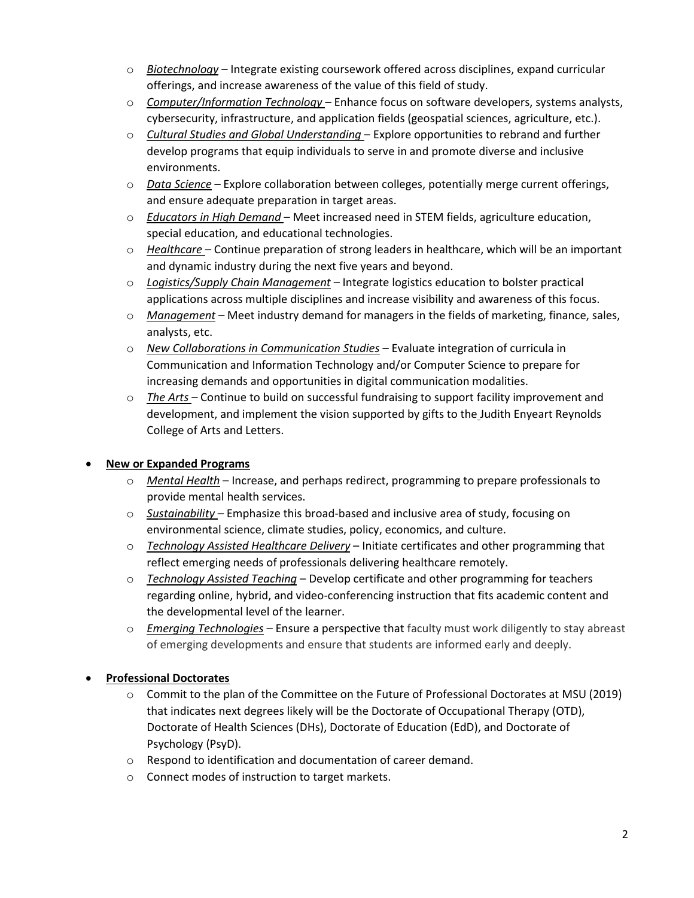- o *Biotechnology* Integrate existing coursework offered across disciplines, expand curricular offerings, and increase awareness of the value of this field of study.
- o *Computer/Information Technology* Enhance focus on software developers, systems analysts, cybersecurity, infrastructure, and application fields (geospatial sciences, agriculture, etc.).
- environments. o *Cultural Studies and Global Understanding* – Explore opportunities to rebrand and further develop programs that equip individuals to serve in and promote diverse and inclusive
- o *Data Science* Explore collaboration between colleges, potentially merge current offerings, and ensure adequate preparation in target areas.
- o *Educators in High Demand* Meet increased need in STEM fields, agriculture education, special education, and educational technologies.
- o *Healthcare*  Continue preparation of strong leaders in healthcare, which will be an important and dynamic industry during the next five years and beyond.
- o *Logistics/Supply Chain Management* Integrate logistics education to bolster practical applications across multiple disciplines and increase visibility and awareness of this focus.
- o *Management*  Meet industry demand for managers in the fields of marketing, finance, sales, analysts, etc.
- increasing demands and opportunities in digital communication modalities. o *New Collaborations in Communication Studies –* Evaluate integration of curricula in Communication and Information Technology and/or Computer Science to prepare for
- o *The Arts* Continue to build on successful fundraising to support facility improvement and development, and implement the vision supported by gifts to the Judith Enyeart Reynolds College of Arts and Letters.

# • **New or Expanded Programs**

- o *Mental Health*  Increase, and perhaps redirect, programming to prepare professionals to provide mental health services.
- o *Sustainability*  Emphasize this broad-based and inclusive area of study, focusing on environmental science, climate studies, policy, economics, and culture.
- o *Technology Assisted Healthcare Delivery*  Initiate certificates and other programming that reflect emerging needs of professionals delivering healthcare remotely.
- o *Technology Assisted Teaching*  Develop certificate and other programming for teachers regarding online, hybrid, and video-conferencing instruction that fits academic content and the developmental level of the learner.
- o *Emerging Technologies*  Ensure a perspective that faculty must work diligently to stay abreast of emerging developments and ensure that students are informed early and deeply.

# • **Professional Doctorates**

- o Commit to the plan of the Committee on the Future of Professional Doctorates at MSU (2019) that indicates next degrees likely will be the Doctorate of Occupational Therapy (OTD), Doctorate of Health Sciences (DHs), Doctorate of Education (EdD), and Doctorate of Psychology (PsyD).
- o Respond to identification and documentation of career demand.
- o Connect modes of instruction to target markets.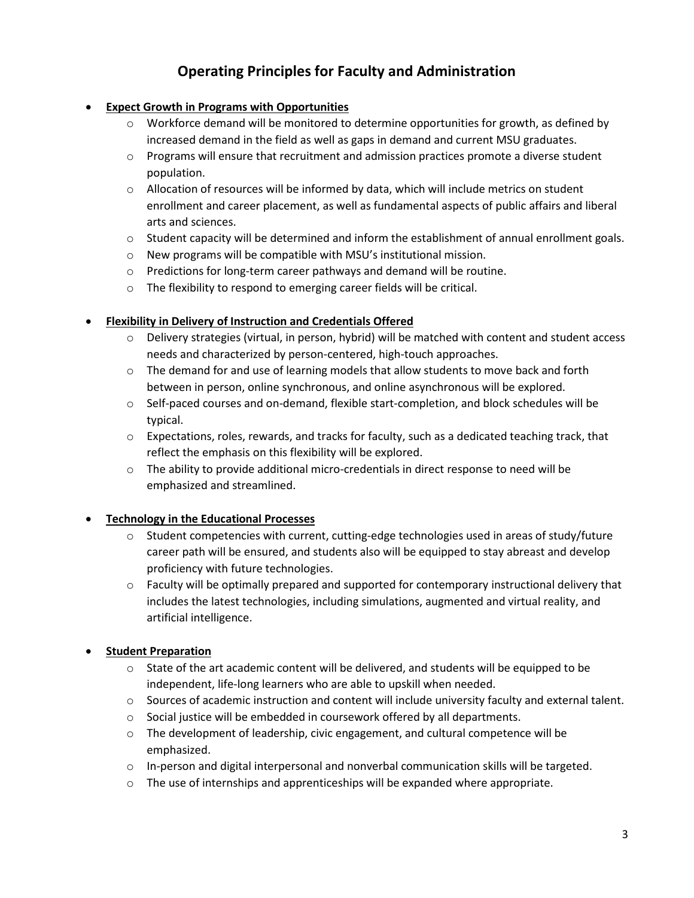# **Operating Principles for Faculty and Administration**

## • **Expect Growth in Programs with Opportunities**

- $\circ$  Workforce demand will be monitored to determine opportunities for growth, as defined by increased demand in the field as well as gaps in demand and current MSU graduates.
- $\circ$  Programs will ensure that recruitment and admission practices promote a diverse student population.
- o Allocation of resources will be informed by data, which will include metrics on student enrollment and career placement, as well as fundamental aspects of public affairs and liberal arts and sciences.
- o Student capacity will be determined and inform the establishment of annual enrollment goals.
- o New programs will be compatible with MSU's institutional mission.
- o Predictions for long-term career pathways and demand will be routine.
- $\circ$  The flexibility to respond to emerging career fields will be critical.

## • **Flexibility in Delivery of Instruction and Credentials Offered**

- $\circ$  Delivery strategies (virtual, in person, hybrid) will be matched with content and student access needs and characterized by person-centered, high-touch approaches.
- between in person, online synchronous, and online asynchronous will be explored.  $\circ$  The demand for and use of learning models that allow students to move back and forth
- o Self-paced courses and on-demand, flexible start-completion, and block schedules will be typical.
- $\circ$  Expectations, roles, rewards, and tracks for faculty, such as a dedicated teaching track, that reflect the emphasis on this flexibility will be explored.
- emphasized and streamlined.  $\circ$  The ability to provide additional micro-credentials in direct response to need will be

### • **Technology in the Educational Processes**

- career path will be ensured, and students also will be equipped to stay abreast and develop  $\circ$  Student competencies with current, cutting-edge technologies used in areas of study/future proficiency with future technologies.
- $\circ$  Faculty will be optimally prepared and supported for contemporary instructional delivery that artificial intelligence. includes the latest technologies, including simulations, augmented and virtual reality, and

# • **Student Preparation**

- $\circ$  State of the art academic content will be delivered, and students will be equipped to be independent, life-long learners who are able to upskill when needed.
- $\circ$  Sources of academic instruction and content will include university faculty and external talent.
- $\circ$  Social justice will be embedded in coursework offered by all departments.
- $\circ$  The development of leadership, civic engagement, and cultural competence will be emphasized.
- $\circ$  In-person and digital interpersonal and nonverbal communication skills will be targeted.
- $\circ$  The use of internships and apprenticeships will be expanded where appropriate.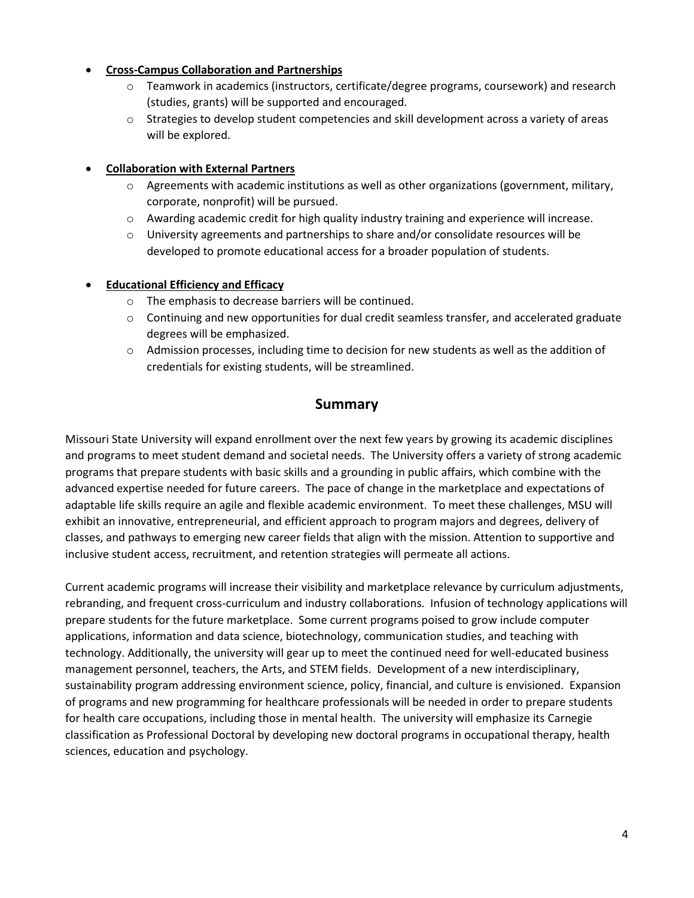#### • **Cross-Campus Collaboration and Partnerships**

- (studies, grants) will be supported and encouraged. o Teamwork in academics (instructors, certificate/degree programs, coursework) and research
- $\circ$  Strategies to develop student competencies and skill development across a variety of areas will be explored.

### • **Collaboration with External Partners**

- $\circ$  Agreements with academic institutions as well as other organizations (government, military, corporate, nonprofit) will be pursued.
- o Awarding academic credit for high quality industry training and experience will increase.
- o University agreements and partnerships to share and/or consolidate resources will be developed to promote educational access for a broader population of students.

### • **Educational Efficiency and Efficacy**

- o The emphasis to decrease barriers will be continued.
- degrees will be emphasized. o Continuing and new opportunities for dual credit seamless transfer, and accelerated graduate
- credentials for existing students, will be streamlined.  $\circ$  Admission processes, including time to decision for new students as well as the addition of

# **Summary**

 Missouri State University will expand enrollment over the next few years by growing its academic disciplines advanced expertise needed for future careers. The pace of change in the marketplace and expectations of adaptable life skills require an agile and flexible academic environment. To meet these challenges, MSU will exhibit an innovative, entrepreneurial, and efficient approach to program majors and degrees, delivery of and programs to meet student demand and societal needs. The University offers a variety of strong academic programs that prepare students with basic skills and a grounding in public affairs, which combine with the classes, and pathways to emerging new career fields that align with the mission. Attention to supportive and inclusive student access, recruitment, and retention strategies will permeate all actions.

 rebranding, and frequent cross-curriculum and industry collaborations. Infusion of technology applications will prepare students for the future marketplace. Some current programs poised to grow include computer management personnel, teachers, the Arts, and STEM fields. Development of a new interdisciplinary, sustainability program addressing environment science, policy, financial, and culture is envisioned. Expansion sciences, education and psychology. Current academic programs will increase their visibility and marketplace relevance by curriculum adjustments, applications, information and data science, biotechnology, communication studies, and teaching with technology. Additionally, the university will gear up to meet the continued need for well-educated business of programs and new programming for healthcare professionals will be needed in order to prepare students for health care occupations, including those in mental health. The university will emphasize its Carnegie classification as Professional Doctoral by developing new doctoral programs in occupational therapy, health sciences, education and psychology.